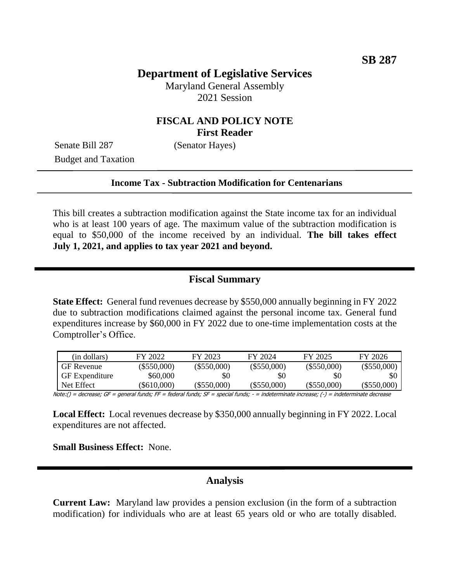# **Department of Legislative Services**

Maryland General Assembly 2021 Session

### **FISCAL AND POLICY NOTE First Reader**

Senate Bill 287 (Senator Hayes) Budget and Taxation

#### **Income Tax - Subtraction Modification for Centenarians**

This bill creates a subtraction modification against the State income tax for an individual who is at least 100 years of age. The maximum value of the subtraction modification is equal to \$50,000 of the income received by an individual. **The bill takes effect July 1, 2021, and applies to tax year 2021 and beyond.** 

#### **Fiscal Summary**

**State Effect:** General fund revenues decrease by \$550,000 annually beginning in FY 2022 due to subtraction modifications claimed against the personal income tax. General fund expenditures increase by \$60,000 in FY 2022 due to one-time implementation costs at the Comptroller's Office.

| (in dollars)          | FY 2022        | FY 2023       | FY 2024       | FY 2025       | FY 2026           |
|-----------------------|----------------|---------------|---------------|---------------|-------------------|
| <b>GF</b> Revenue     | $(\$550,000)$  | $(\$550,000)$ | $(\$550,000)$ | $(\$550,000)$ | $(\$550,000)$     |
| <b>GF</b> Expenditure | \$60,000       | \$0           | <b>SO</b>     | \$0           |                   |
| Net Effect            | $($ \$610,000) | $(\$550,000)$ | (S550,000)    | (S550,000)    | $($ \$550,000 $)$ |

Note:() = decrease; GF = general funds; FF = federal funds; SF = special funds; - = indeterminate increase; (-) = indeterminate decrease

**Local Effect:** Local revenues decrease by \$350,000 annually beginning in FY 2022. Local expenditures are not affected.

**Small Business Effect:** None.

### **Analysis**

**Current Law:** Maryland law provides a pension exclusion (in the form of a subtraction modification) for individuals who are at least 65 years old or who are totally disabled.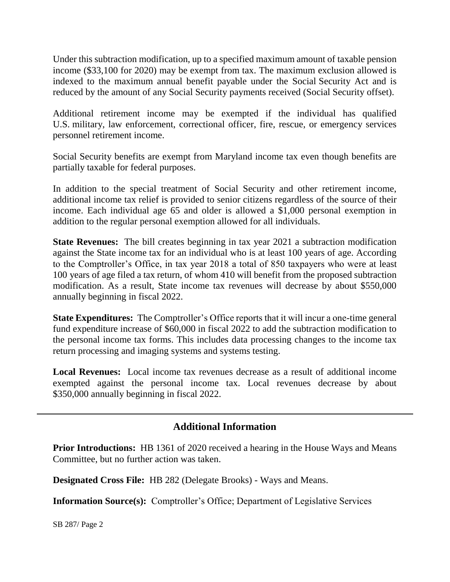Under this subtraction modification, up to a specified maximum amount of taxable pension income (\$33,100 for 2020) may be exempt from tax. The maximum exclusion allowed is indexed to the maximum annual benefit payable under the Social Security Act and is reduced by the amount of any Social Security payments received (Social Security offset).

Additional retirement income may be exempted if the individual has qualified U.S. military, law enforcement, correctional officer, fire, rescue, or emergency services personnel retirement income.

Social Security benefits are exempt from Maryland income tax even though benefits are partially taxable for federal purposes.

In addition to the special treatment of Social Security and other retirement income, additional income tax relief is provided to senior citizens regardless of the source of their income. Each individual age 65 and older is allowed a \$1,000 personal exemption in addition to the regular personal exemption allowed for all individuals.

**State Revenues:** The bill creates beginning in tax year 2021 a subtraction modification against the State income tax for an individual who is at least 100 years of age. According to the Comptroller's Office, in tax year 2018 a total of 850 taxpayers who were at least 100 years of age filed a tax return, of whom 410 will benefit from the proposed subtraction modification. As a result, State income tax revenues will decrease by about \$550,000 annually beginning in fiscal 2022.

**State Expenditures:** The Comptroller's Office reports that it will incur a one-time general fund expenditure increase of \$60,000 in fiscal 2022 to add the subtraction modification to the personal income tax forms. This includes data processing changes to the income tax return processing and imaging systems and systems testing.

**Local Revenues:** Local income tax revenues decrease as a result of additional income exempted against the personal income tax. Local revenues decrease by about \$350,000 annually beginning in fiscal 2022.

# **Additional Information**

**Prior Introductions:** HB 1361 of 2020 received a hearing in the House Ways and Means Committee, but no further action was taken.

**Designated Cross File:** HB 282 (Delegate Brooks) - Ways and Means.

**Information Source(s):** Comptroller's Office; Department of Legislative Services